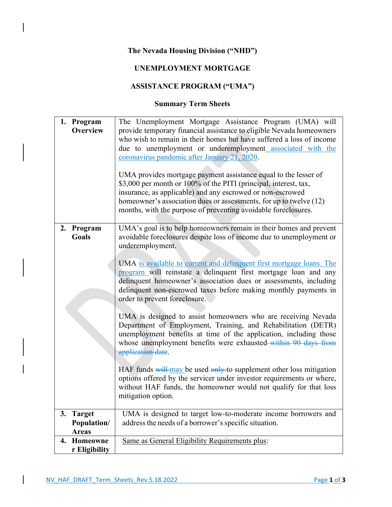## **The Nevada Housing Division ("NHD")**

## **UNEMPLOYMENT MORTGAGE**

## **ASSISTANCE PROGRAM ("UMA")**

## **Summary Term Sheets**

|    | 1. Program<br><b>Overview</b>       | The Unemployment Mortgage Assistance Program (UMA) will<br>provide temporary financial assistance to eligible Nevada homeowners<br>who wish to remain in their homes but have suffered a loss of income<br>due to unemployment or underemployment associated with the<br>coronavirus pandemic after January 21, 2020.<br>UMA provides mortgage payment assistance equal to the lesser of<br>\$3,000 per month or 100% of the PITI (principal, interest, tax,<br>insurance, as applicable) and any escrowed or non-escrowed<br>homeowner's association dues or assessments, for up to twelve (12)<br>months, with the purpose of preventing avoidable foreclosures.                                                                                                                                                                                                                                                                                                                                                         |
|----|-------------------------------------|----------------------------------------------------------------------------------------------------------------------------------------------------------------------------------------------------------------------------------------------------------------------------------------------------------------------------------------------------------------------------------------------------------------------------------------------------------------------------------------------------------------------------------------------------------------------------------------------------------------------------------------------------------------------------------------------------------------------------------------------------------------------------------------------------------------------------------------------------------------------------------------------------------------------------------------------------------------------------------------------------------------------------|
|    | 2. Program<br><b>Goals</b>          | UMA's goal is to help homeowners remain in their homes and prevent<br>avoidable foreclosures despite loss of income due to unemployment or<br>underemployment.<br>UMA is available to current and delinquent first mortgage loans. The<br>program will reinstate a delinquent first mortgage loan and any<br>delinquent homeowner's association dues or assessments, including<br>delinquent non-escrowed taxes before making monthly payments in<br>order to prevent foreclosure.<br>UMA is designed to assist homeowners who are receiving Nevada<br>Department of Employment, Training, and Rehabilitation (DETR)<br>unemployment benefits at time of the application, including those<br>whose unemployment benefits were exhausted within 90 days from<br>application date.<br>HAF funds will may be used only to supplement other loss mitigation<br>options offered by the servicer under investor requirements or where,<br>without HAF funds, the homeowner would not qualify for that loss<br>mitigation option. |
| 3. | <b>Target</b><br><b>Population/</b> | UMA is designed to target low-to-moderate income borrowers and<br>address the needs of a borrower's specific situation.                                                                                                                                                                                                                                                                                                                                                                                                                                                                                                                                                                                                                                                                                                                                                                                                                                                                                                    |
|    | <b>Areas</b>                        |                                                                                                                                                                                                                                                                                                                                                                                                                                                                                                                                                                                                                                                                                                                                                                                                                                                                                                                                                                                                                            |
| 4. | Homeowne<br>r Eligibility           | Same as General Eligibility Requirements plus:                                                                                                                                                                                                                                                                                                                                                                                                                                                                                                                                                                                                                                                                                                                                                                                                                                                                                                                                                                             |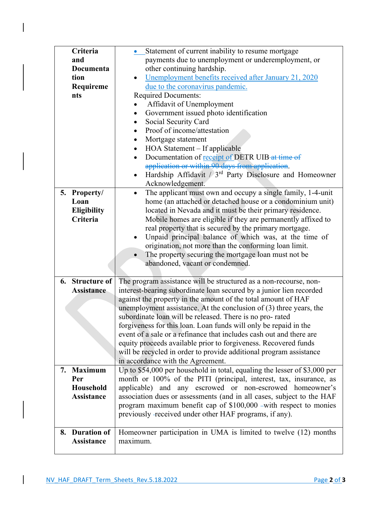| Criteria           | Statement of current inability to resume mortgage                           |
|--------------------|-----------------------------------------------------------------------------|
| and                | payments due to unemployment or underemployment, or                         |
| Documenta          | other continuing hardship.                                                  |
| tion               | Unemployment benefits received after January 21, 2020                       |
| Requireme          | due to the coronavirus pandemic.                                            |
| nts                | <b>Required Documents:</b>                                                  |
|                    | Affidavit of Unemployment                                                   |
|                    | Government issued photo identification<br>$\bullet$                         |
|                    | Social Security Card<br>$\bullet$                                           |
|                    | Proof of income/attestation<br>$\bullet$                                    |
|                    | Mortgage statement<br>$\bullet$                                             |
|                    | HOA Statement – If applicable<br>$\bullet$                                  |
|                    | Documentation of receipt of DETR UIB-at time of<br>$\bullet$                |
|                    | application or within 90 days from application.                             |
|                    | Hardship Affidavit $/3^{rd}$ Party Disclosure and Homeowner<br>$\bullet$    |
|                    | Acknowledgement.                                                            |
| 5. Property/       | The applicant must own and occupy a single family, 1-4-unit<br>$\bullet$    |
| Loan               | home (an attached or detached house or a condominium unit)                  |
| <b>Eligibility</b> | located in Nevada and it must be their primary residence.                   |
| Criteria           | Mobile homes are eligible if they are permanently affixed to                |
|                    | real property that is secured by the primary mortgage.                      |
|                    | Unpaid principal balance of which was, at the time of<br>$\bullet$          |
|                    | origination, not more than the conforming loan limit.                       |
|                    | The property securing the mortgage loan must not be<br>$\bullet$            |
|                    | abandoned, vacant or condemned.                                             |
|                    |                                                                             |
| 6. Structure of    | The program assistance will be structured as a non-recourse, non-           |
| <b>Assistance</b>  | interest-bearing subordinate loan secured by a junior lien recorded         |
|                    | against the property in the amount of the total amount of HAF               |
|                    | unemployment assistance. At the conclusion of $(3)$ three years, the        |
|                    | subordinate loan will be released. There is no pro-rated                    |
|                    | forgiveness for this loan. Loan funds will only be repaid in the            |
|                    | event of a sale or a refinance that includes cash out and there are         |
|                    | equity proceeds available prior to forgiveness. Recovered funds             |
|                    | will be recycled in order to provide additional program assistance          |
|                    | in accordance with the Agreement.                                           |
| 7. Maximum         | Up to $$54,000$ per household in total, equaling the lesser of $$3,000$ per |
| Per                | month or 100% of the PITI (principal, interest, tax, insurance, as          |
| Household          | applicable) and any escrowed or non-escrowed homeowner's                    |
| <b>Assistance</b>  | association dues or assessments (and in all cases, subject to the HAF       |
|                    | program maximum benefit cap of \$100,000 -with respect to monies            |
|                    | previously -received under other HAF programs, if any).                     |
|                    |                                                                             |
| 8. Duration of     | Homeowner participation in UMA is limited to twelve (12) months             |
|                    |                                                                             |
| <b>Assistance</b>  | maximum.                                                                    |